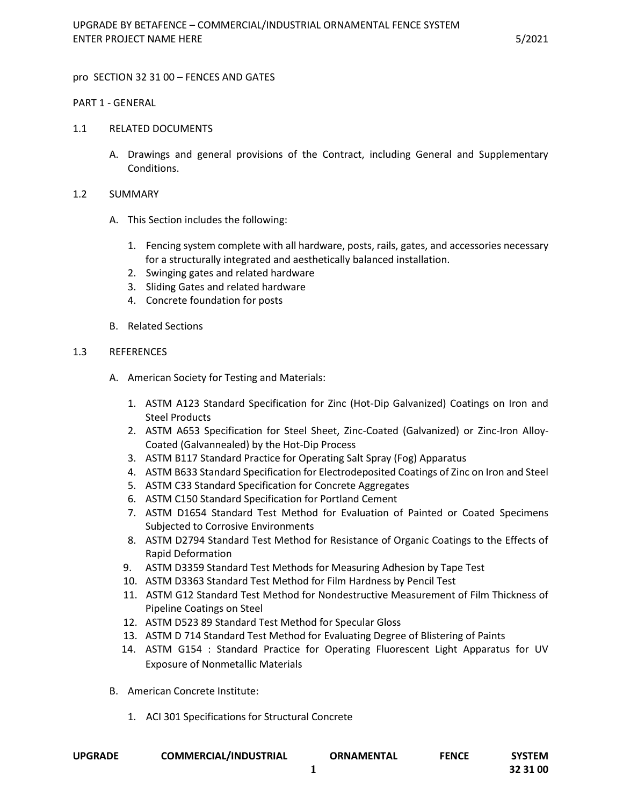#### pro SECTION 32 31 00 – FENCES AND GATES

#### PART 1 - GENERAL

- 1.1 RELATED DOCUMENTS
	- A. Drawings and general provisions of the Contract, including General and Supplementary Conditions.

#### 1.2 SUMMARY

- A. This Section includes the following:
	- 1. Fencing system complete with all hardware, posts, rails, gates, and accessories necessary for a structurally integrated and aesthetically balanced installation.
	- 2. Swinging gates and related hardware
	- 3. Sliding Gates and related hardware
	- 4. Concrete foundation for posts
- B. Related Sections

#### 1.3 REFERENCES

- A. American Society for Testing and Materials:
	- 1. ASTM A123 Standard Specification for Zinc (Hot-Dip Galvanized) Coatings on Iron and Steel Products
	- 2. ASTM A653 Specification for Steel Sheet, Zinc-Coated (Galvanized) or Zinc-Iron Alloy-Coated (Galvannealed) by the Hot-Dip Process
	- 3. ASTM B117 Standard Practice for Operating Salt Spray (Fog) Apparatus
	- 4. ASTM B633 Standard Specification for Electrodeposited Coatings of Zinc on Iron and Steel
	- 5. ASTM C33 Standard Specification for Concrete Aggregates
	- 6. ASTM C150 Standard Specification for Portland Cement
	- 7. ASTM D1654 Standard Test Method for Evaluation of Painted or Coated Specimens Subjected to Corrosive Environments
	- 8. ASTM D2794 Standard Test Method for Resistance of Organic Coatings to the Effects of Rapid Deformation
	- 9. ASTM D3359 Standard Test Methods for Measuring Adhesion by Tape Test
	- 10. ASTM D3363 Standard Test Method for Film Hardness by Pencil Test
	- 11. ASTM G12 Standard Test Method for Nondestructive Measurement of Film Thickness of Pipeline Coatings on Steel
	- 12. ASTM D523 89 Standard Test Method for Specular Gloss
	- 13. ASTM D 714 Standard Test Method for Evaluating Degree of Blistering of Paints
	- 14. ASTM G154 : Standard Practice for Operating Fluorescent Light Apparatus for UV Exposure of Nonmetallic Materials
- B. American Concrete Institute:
	- 1. ACI 301 Specifications for Structural Concrete

|                |                              |                   |              | <b>SYSTEM</b> |
|----------------|------------------------------|-------------------|--------------|---------------|
| <b>UPGRADE</b> | <b>COMMERCIAL/INDUSTRIAL</b> | <b>ORNAMENTAL</b> | <b>FENCE</b> |               |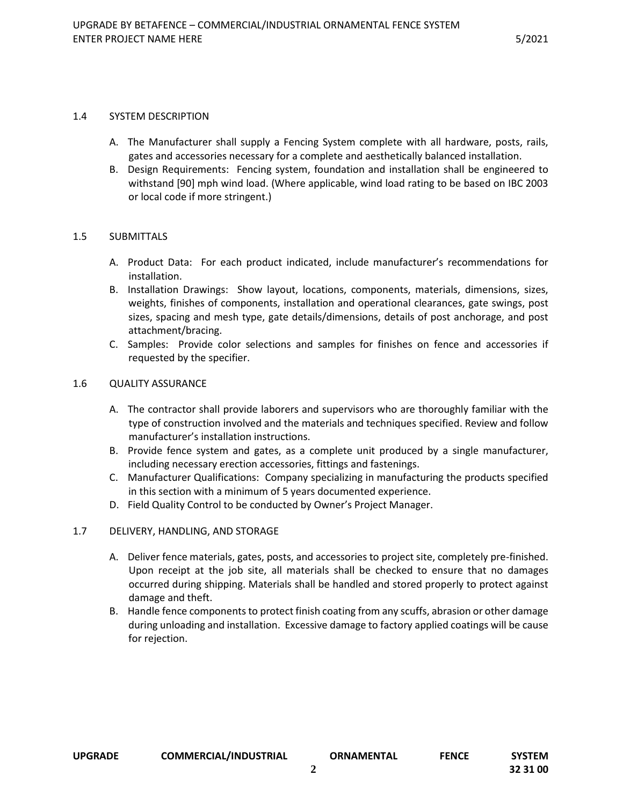#### 1.4 SYSTEM DESCRIPTION

- A. The Manufacturer shall supply a Fencing System complete with all hardware, posts, rails, gates and accessories necessary for a complete and aesthetically balanced installation.
- B. Design Requirements: Fencing system, foundation and installation shall be engineered to withstand [90] mph wind load. (Where applicable, wind load rating to be based on IBC 2003 or local code if more stringent.)

# 1.5 SUBMITTALS

- A. Product Data: For each product indicated, include manufacturer's recommendations for installation.
- B. Installation Drawings: Show layout, locations, components, materials, dimensions, sizes, weights, finishes of components, installation and operational clearances, gate swings, post sizes, spacing and mesh type, gate details/dimensions, details of post anchorage, and post attachment/bracing.
- C. Samples: Provide color selections and samples for finishes on fence and accessories if requested by the specifier.

#### 1.6 QUALITY ASSURANCE

- A. The contractor shall provide laborers and supervisors who are thoroughly familiar with the type of construction involved and the materials and techniques specified. Review and follow manufacturer's installation instructions.
- B. Provide fence system and gates, as a complete unit produced by a single manufacturer, including necessary erection accessories, fittings and fastenings.
- C. Manufacturer Qualifications: Company specializing in manufacturing the products specified in this section with a minimum of 5 years documented experience.
- D. Field Quality Control to be conducted by Owner's Project Manager.

# 1.7 DELIVERY, HANDLING, AND STORAGE

- A. Deliver fence materials, gates, posts, and accessories to project site, completely pre-finished. Upon receipt at the job site, all materials shall be checked to ensure that no damages occurred during shipping. Materials shall be handled and stored properly to protect against damage and theft.
- B. Handle fence components to protect finish coating from any scuffs, abrasion or other damage during unloading and installation. Excessive damage to factory applied coatings will be cause for rejection.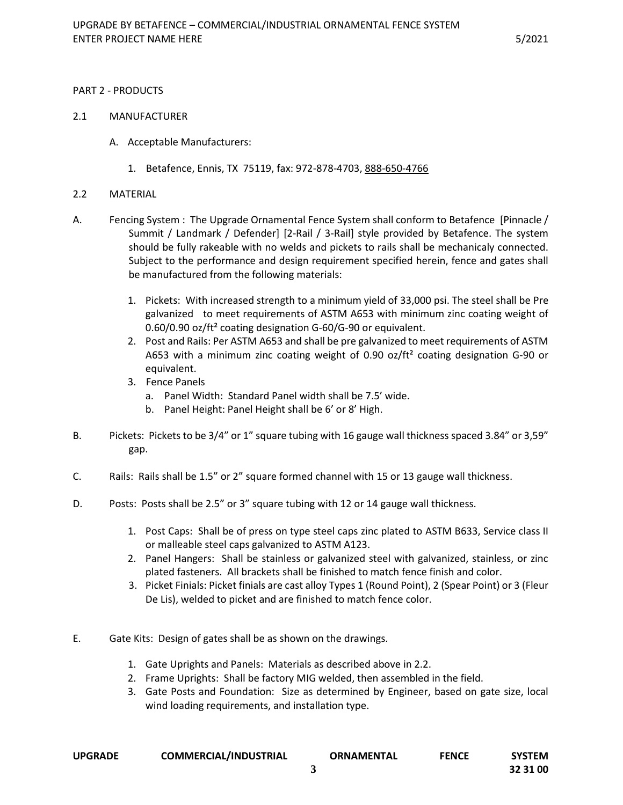#### PART 2 - PRODUCTS

#### 2.1 MANUFACTURER

- A. Acceptable Manufacturers:
	- 1. Betafence, Ennis, TX 75119, fax: 972-878-4703, 888-650-4766

#### 2.2 MATERIAL

- A. Fencing System : The Upgrade Ornamental Fence System shall conform to Betafence [Pinnacle / Summit / Landmark / Defender] [2-Rail / 3-Rail] style provided by Betafence. The system should be fully rakeable with no welds and pickets to rails shall be mechanicaly connected. Subject to the performance and design requirement specified herein, fence and gates shall be manufactured from the following materials:
	- 1. Pickets: With increased strength to a minimum yield of 33,000 psi. The steel shall be Pre galvanized to meet requirements of ASTM A653 with minimum zinc coating weight of 0.60/0.90 oz/ft² coating designation G-60/G-90 or equivalent.
	- 2. Post and Rails: Per ASTM A653 and shall be pre galvanized to meet requirements of ASTM A653 with a minimum zinc coating weight of 0.90 oz/ft<sup>2</sup> coating designation G-90 or equivalent.
	- 3. Fence Panels
		- a. Panel Width: Standard Panel width shall be 7.5' wide.
		- b. Panel Height: Panel Height shall be 6' or 8' High.
- B. Pickets: Pickets to be 3/4" or 1" square tubing with 16 gauge wall thickness spaced 3.84" or 3,59" gap.
- C. Rails: Rails shall be 1.5" or 2" square formed channel with 15 or 13 gauge wall thickness.
- D. Posts: Posts shall be 2.5" or 3" square tubing with 12 or 14 gauge wall thickness.
	- 1. Post Caps: Shall be of press on type steel caps zinc plated to ASTM B633, Service class II or malleable steel caps galvanized to ASTM A123.
	- 2. Panel Hangers: Shall be stainless or galvanized steel with galvanized, stainless, or zinc plated fasteners. All brackets shall be finished to match fence finish and color.
	- 3. Picket Finials: Picket finials are cast alloy Types 1 (Round Point), 2 (Spear Point) or 3 (Fleur De Lis), welded to picket and are finished to match fence color.
- E. Gate Kits: Design of gates shall be as shown on the drawings.
	- 1. Gate Uprights and Panels: Materials as described above in 2.2.
	- 2. Frame Uprights: Shall be factory MIG welded, then assembled in the field.
	- 3. Gate Posts and Foundation: Size as determined by Engineer, based on gate size, local wind loading requirements, and installation type.

| <b>UPGRADE</b> | <b>COMMERCIAL/INDUSTRIAL</b> | <b>ORNAMENTAL</b> | <b>FENCE</b> | SYSTEM |
|----------------|------------------------------|-------------------|--------------|--------|
|                |                              |                   |              |        |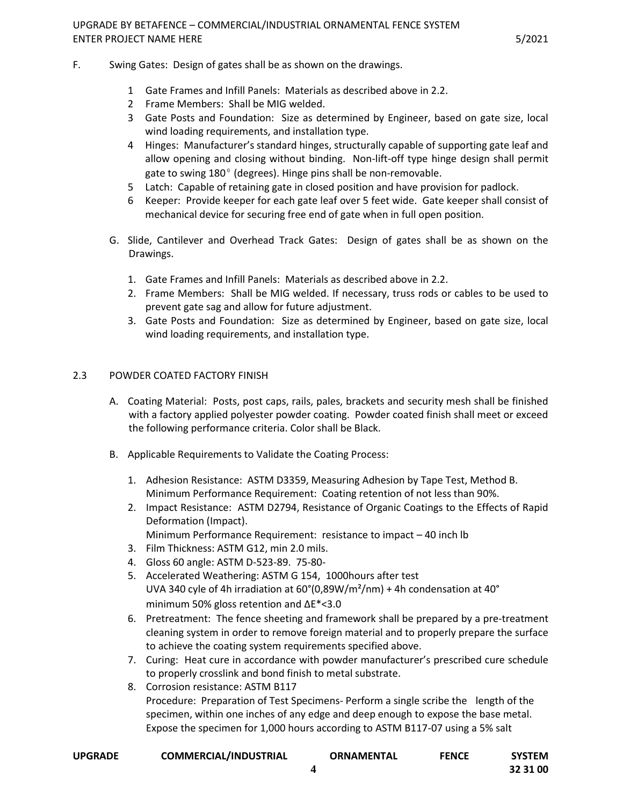# UPGRADE BY BETAFENCE – COMMERCIAL/INDUSTRIAL ORNAMENTAL FENCE SYSTEM ENTER PROJECT NAME HERE **FRAGIST AND EXAMPLE 2008** S/2021

- F. Swing Gates: Design of gates shall be as shown on the drawings.
	- 1 Gate Frames and Infill Panels: Materials as described above in 2.2.
	- 2 Frame Members: Shall be MIG welded.
	- 3 Gate Posts and Foundation: Size as determined by Engineer, based on gate size, local wind loading requirements, and installation type.
	- 4 Hinges: Manufacturer's standard hinges, structurally capable of supporting gate leaf and allow opening and closing without binding. Non-lift-off type hinge design shall permit gate to swing  $180^\circ$  (degrees). Hinge pins shall be non-removable.
	- 5 Latch: Capable of retaining gate in closed position and have provision for padlock.
	- 6 Keeper: Provide keeper for each gate leaf over 5 feet wide. Gate keeper shall consist of mechanical device for securing free end of gate when in full open position.
	- G. Slide, Cantilever and Overhead Track Gates: Design of gates shall be as shown on the Drawings.
		- 1. Gate Frames and Infill Panels: Materials as described above in 2.2.
		- 2. Frame Members: Shall be MIG welded. If necessary, truss rods or cables to be used to prevent gate sag and allow for future adjustment.
		- 3. Gate Posts and Foundation: Size as determined by Engineer, based on gate size, local wind loading requirements, and installation type.

# 2.3 POWDER COATED FACTORY FINISH

- A. Coating Material: Posts, post caps, rails, pales, brackets and security mesh shall be finished with a factory applied polyester powder coating. Powder coated finish shall meet or exceed the following performance criteria. Color shall be Black.
- B. Applicable Requirements to Validate the Coating Process:
	- 1. Adhesion Resistance: ASTM D3359, Measuring Adhesion by Tape Test, Method B. Minimum Performance Requirement: Coating retention of not less than 90%.
	- 2. Impact Resistance: ASTM D2794, Resistance of Organic Coatings to the Effects of Rapid Deformation (Impact).
		- Minimum Performance Requirement: resistance to impact 40 inch lb
	- 3. Film Thickness: ASTM G12, min 2.0 mils.
	- 4. Gloss 60 angle: ASTM D-523-89. 75-80-
	- 5. Accelerated Weathering: ASTM G 154, 1000hours after test UVA 340 cyle of 4h irradiation at 60°(0,89W/m²/nm) + 4h condensation at 40° minimum 50% gloss retention and ΔE\*<3.0
	- 6. Pretreatment: The fence sheeting and framework shall be prepared by a pre-treatment cleaning system in order to remove foreign material and to properly prepare the surface to achieve the coating system requirements specified above.
	- 7. Curing: Heat cure in accordance with powder manufacturer's prescribed cure schedule to properly crosslink and bond finish to metal substrate.
	- 8. Corrosion resistance: ASTM B117 Procedure: Preparation of Test Specimens- Perform a single scribe the length of the specimen, within one inches of any edge and deep enough to expose the base metal. Expose the specimen for 1,000 hours according to ASTM B117-07 using a 5% salt

| <b>UPGRADE</b> | <b>COMMERCIAL/INDUSTRIAL</b> | <b>ORNAMENTAL</b> | <b>FENCE</b> | <b>SYSTEM</b> |
|----------------|------------------------------|-------------------|--------------|---------------|
|                |                              |                   |              |               |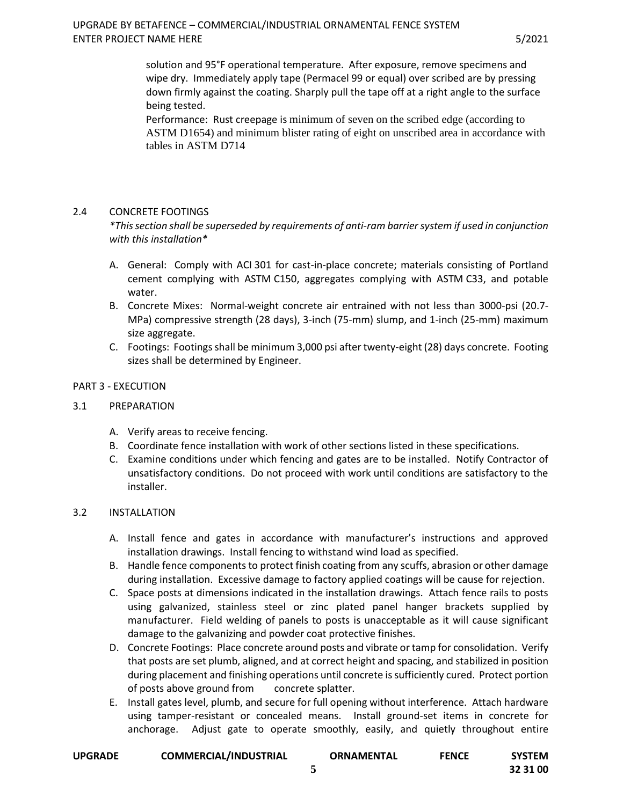solution and 95°F operational temperature. After exposure, remove specimens and wipe dry. Immediately apply tape (Permacel 99 or equal) over scribed are by pressing down firmly against the coating. Sharply pull the tape off at a right angle to the surface being tested.

Performance: Rust creepage is minimum of seven on the scribed edge (according to ASTM D1654) and minimum blister rating of eight on unscribed area in accordance with tables in ASTM D714

# 2.4 CONCRETE FOOTINGS

*\*This section shall be superseded by requirements of anti-ram barrier system if used in conjunction with this installation\**

- A. General: Comply with ACI 301 for cast-in-place concrete; materials consisting of Portland cement complying with ASTM C150, aggregates complying with ASTM C33, and potable water.
- B. Concrete Mixes: Normal-weight concrete air entrained with not less than 3000-psi (20.7- MPa) compressive strength (28 days), 3-inch (75-mm) slump, and 1-inch (25-mm) maximum size aggregate.
- C. Footings: Footings shall be minimum 3,000 psi after twenty-eight (28) days concrete. Footing sizes shall be determined by Engineer.

# PART 3 - EXECUTION

# 3.1 PREPARATION

- A. Verify areas to receive fencing.
- B. Coordinate fence installation with work of other sections listed in these specifications.
- C. Examine conditions under which fencing and gates are to be installed. Notify Contractor of unsatisfactory conditions. Do not proceed with work until conditions are satisfactory to the installer.

# 3.2 INSTALLATION

- A. Install fence and gates in accordance with manufacturer's instructions and approved installation drawings. Install fencing to withstand wind load as specified.
- B. Handle fence components to protect finish coating from any scuffs, abrasion or other damage during installation. Excessive damage to factory applied coatings will be cause for rejection.
- C. Space posts at dimensions indicated in the installation drawings. Attach fence rails to posts using galvanized, stainless steel or zinc plated panel hanger brackets supplied by manufacturer. Field welding of panels to posts is unacceptable as it will cause significant damage to the galvanizing and powder coat protective finishes.
- D. Concrete Footings: Place concrete around posts and vibrate or tamp for consolidation. Verify that posts are set plumb, aligned, and at correct height and spacing, and stabilized in position during placement and finishing operations until concrete is sufficiently cured. Protect portion of posts above ground from concrete splatter.
- E. Install gates level, plumb, and secure for full opening without interference. Attach hardware using tamper-resistant or concealed means. Install ground-set items in concrete for anchorage. Adjust gate to operate smoothly, easily, and quietly throughout entire

|  | <b>UPGRADE</b> | <b>COMMERCIAL/INDUSTRIAL</b> | <b>ORNAMENTAL</b> | <b>FENCE</b> | <b>SYSTEM</b> |
|--|----------------|------------------------------|-------------------|--------------|---------------|
|--|----------------|------------------------------|-------------------|--------------|---------------|